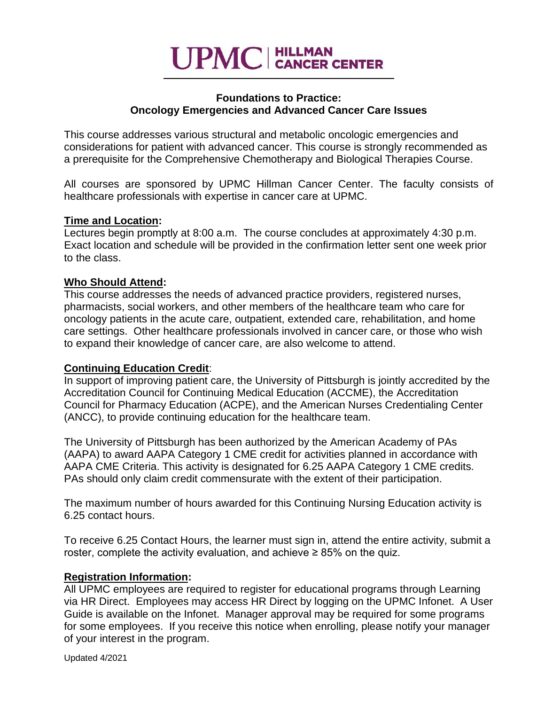

### **Foundations to Practice: Oncology Emergencies and Advanced Cancer Care Issues**

This course addresses various structural and metabolic oncologic emergencies and considerations for patient with advanced cancer. This course is strongly recommended as a prerequisite for the Comprehensive Chemotherapy and Biological Therapies Course.

All courses are sponsored by UPMC Hillman Cancer Center. The faculty consists of healthcare professionals with expertise in cancer care at UPMC.

### **Time and Location:**

Lectures begin promptly at 8:00 a.m. The course concludes at approximately 4:30 p.m. Exact location and schedule will be provided in the confirmation letter sent one week prior to the class.

### **Who Should Attend:**

This course addresses the needs of advanced practice providers, registered nurses, pharmacists, social workers, and other members of the healthcare team who care for oncology patients in the acute care, outpatient, extended care, rehabilitation, and home care settings. Other healthcare professionals involved in cancer care, or those who wish to expand their knowledge of cancer care, are also welcome to attend.

#### **Continuing Education Credit**:

In support of improving patient care, the University of Pittsburgh is jointly accredited by the Accreditation Council for Continuing Medical Education (ACCME), the Accreditation Council for Pharmacy Education (ACPE), and the American Nurses Credentialing Center (ANCC), to provide continuing education for the healthcare team.

The University of Pittsburgh has been authorized by the American Academy of PAs (AAPA) to award AAPA Category 1 CME credit for activities planned in accordance with AAPA CME Criteria. This activity is designated for 6.25 AAPA Category 1 CME credits. PAs should only claim credit commensurate with the extent of their participation.

The maximum number of hours awarded for this Continuing Nursing Education activity is 6.25 contact hours.

To receive 6.25 Contact Hours, the learner must sign in, attend the entire activity, submit a roster, complete the activity evaluation, and achieve  $\geq 85\%$  on the quiz.

#### **Registration Information:**

All UPMC employees are required to register for educational programs through Learning via HR Direct. Employees may access HR Direct by logging on the UPMC Infonet. A User Guide is available on the Infonet. Manager approval may be required for some programs for some employees. If you receive this notice when enrolling, please notify your manager of your interest in the program.

Updated 4/2021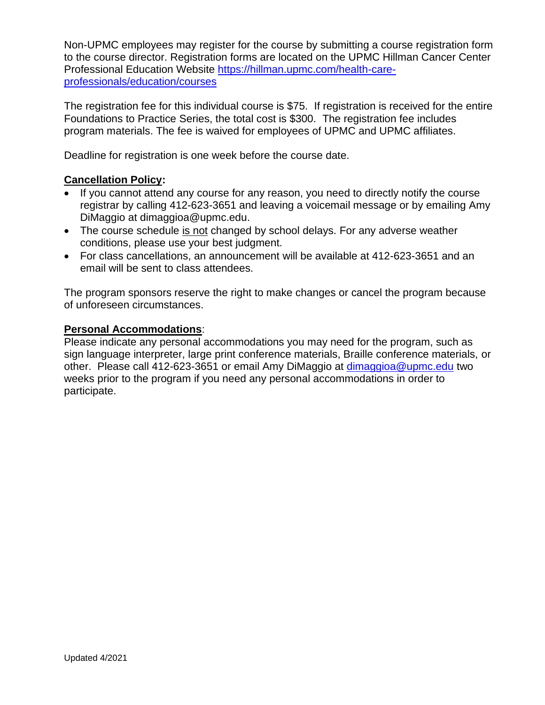Non-UPMC employees may register for the course by submitting a course registration form to the course director. Registration forms are located on the UPMC Hillman Cancer Center Professional Education Website [https://hillman.upmc.com/health-care](https://hillman.upmc.com/health-care-professionals/education/courses)[professionals/education/courses](https://hillman.upmc.com/health-care-professionals/education/courses)

The registration fee for this individual course is \$75. If registration is received for the entire Foundations to Practice Series, the total cost is \$300. The registration fee includes program materials. The fee is waived for employees of UPMC and UPMC affiliates.

Deadline for registration is one week before the course date.

## **Cancellation Policy:**

- If you cannot attend any course for any reason, you need to directly notify the course registrar by calling 412-623-3651 and leaving a voicemail message or by emailing Amy DiMaggio at dimaggioa@upmc.edu.
- The course schedule is not changed by school delays. For any adverse weather conditions, please use your best judgment.
- For class cancellations, an announcement will be available at 412-623-3651 and an email will be sent to class attendees.

The program sponsors reserve the right to make changes or cancel the program because of unforeseen circumstances.

## **Personal Accommodations**:

Please indicate any personal accommodations you may need for the program, such as sign language interpreter, large print conference materials, Braille conference materials, or other. Please call 412-623-3651 or email Amy DiMaggio at [dimaggioa@upmc.edu](mailto:dimaggioa@upmc.edu) two weeks prior to the program if you need any personal accommodations in order to participate.